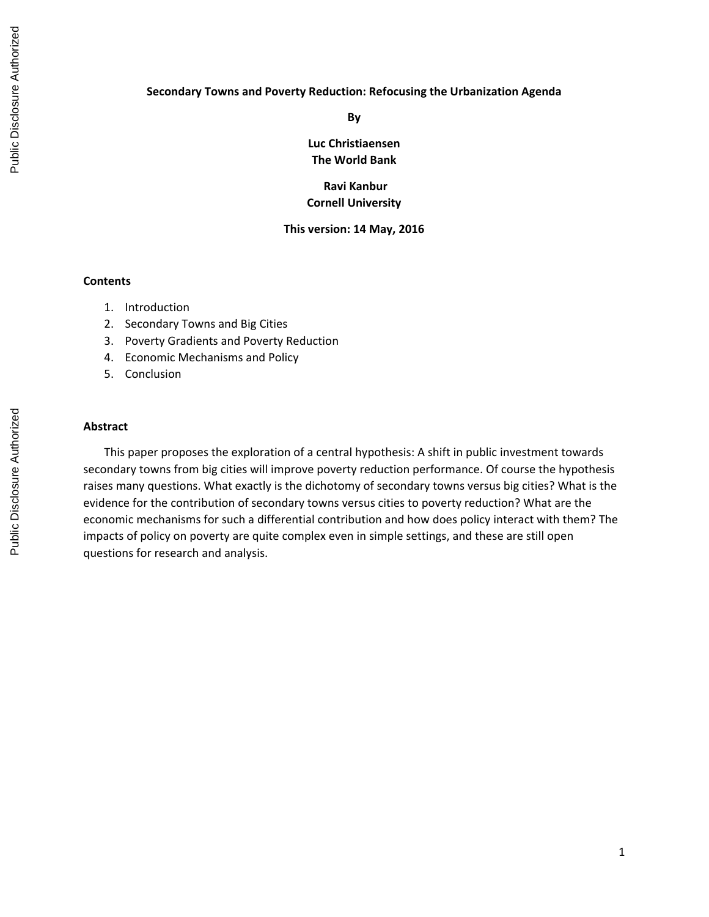### **Secondary Towns and Poverty Reduction: Refocusing the Urbanization Agenda**

**By**

**Luc Christiaensen The World Bank**

**Ravi Kanbur Cornell University**

### **This version: 14 May, 2016**

### **Contents**

- 1. Introduction
- 2. Secondary Towns and Big Cities
- 3. Poverty Gradients and Poverty Reduction
- 4. Economic Mechanisms and Policy
- 5. Conclusion

# **Abstract**

This paper proposes the exploration of a central hypothesis: A shift in public investment towards secondary towns from big cities will improve poverty reduction performance. Of course the hypothesis raises many questions. What exactly is the dichotomy of secondary towns versus big cities? What is the evidence for the contribution of secondary towns versus cities to poverty reduction? What are the economic mechanisms for such a differential contribution and how does policy interact with them? The impacts of policy on poverty are quite complex even in simple settings, and these are still open questions for research and analysis.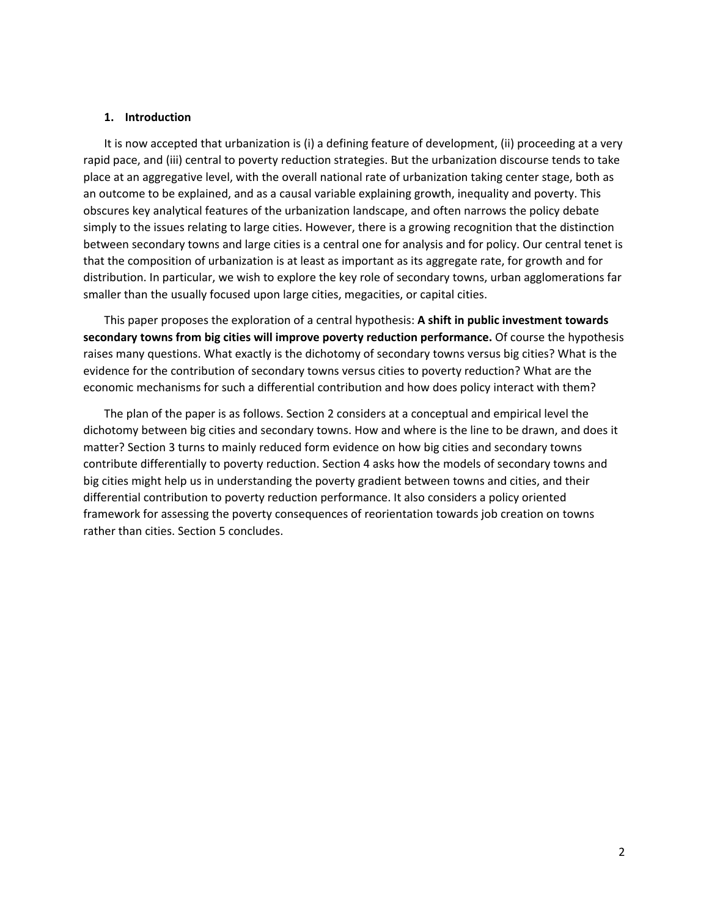### **1. Introduction**

It is now accepted that urbanization is (i) a defining feature of development, (ii) proceeding at a very rapid pace, and (iii) central to poverty reduction strategies. But the urbanization discourse tends to take place at an aggregative level, with the overall national rate of urbanization taking center stage, both as an outcome to be explained, and as a causal variable explaining growth, inequality and poverty. This obscures key analytical features of the urbanization landscape, and often narrows the policy debate simply to the issues relating to large cities. However, there is a growing recognition that the distinction between secondary towns and large cities is a central one for analysis and for policy. Our central tenet is that the composition of urbanization is at least as important as its aggregate rate, for growth and for distribution. In particular, we wish to explore the key role of secondary towns, urban agglomerations far smaller than the usually focused upon large cities, megacities, or capital cities.

This paper proposes the exploration of a central hypothesis: **A shift in public investment towards secondary towns from big cities will improve poverty reduction performance.** Of course the hypothesis raises many questions. What exactly is the dichotomy of secondary towns versus big cities? What is the evidence for the contribution of secondary towns versus cities to poverty reduction? What are the economic mechanisms for such a differential contribution and how does policy interact with them?

The plan of the paper is as follows. Section 2 considers at a conceptual and empirical level the dichotomy between big cities and secondary towns. How and where is the line to be drawn, and does it matter? Section 3 turns to mainly reduced form evidence on how big cities and secondary towns contribute differentially to poverty reduction. Section 4 asks how the models of secondary towns and big cities might help us in understanding the poverty gradient between towns and cities, and their differential contribution to poverty reduction performance. It also considers a policy oriented framework for assessing the poverty consequences of reorientation towards job creation on towns rather than cities. Section 5 concludes.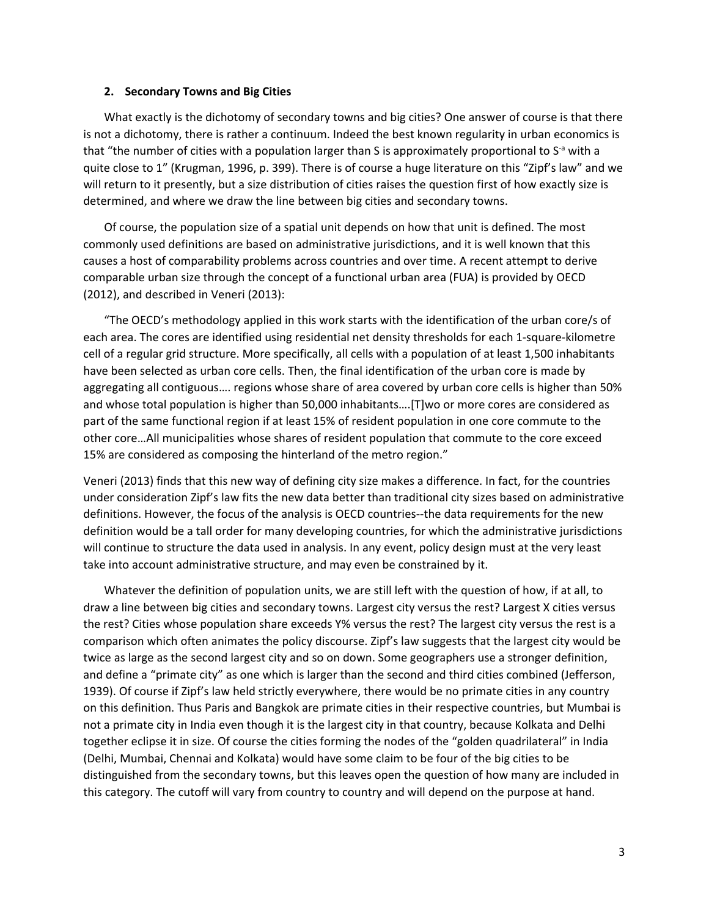#### **2. Secondary Towns and Big Cities**

What exactly is the dichotomy of secondary towns and big cities? One answer of course is that there is not a dichotomy, there is rather a continuum. Indeed the best known regularity in urban economics is that "the number of cities with a population larger than S is approximately proportional to  $S^a$  with a quite close to 1" (Krugman, 1996, p. 399). There is of course a huge literature on this "Zipf's law" and we will return to it presently, but a size distribution of cities raises the question first of how exactly size is determined, and where we draw the line between big cities and secondary towns.

Of course, the population size of a spatial unit depends on how that unit is defined. The most commonly used definitions are based on administrative jurisdictions, and it is well known that this causes a host of comparability problems across countries and over time. A recent attempt to derive comparable urban size through the concept of a functional urban area (FUA) is provided by OECD (2012), and described in Veneri (2013):

"The OECD's methodology applied in this work starts with the identification of the urban core/s of each area. The cores are identified using residential net density thresholds for each 1‐square‐kilometre cell of a regular grid structure. More specifically, all cells with a population of at least 1,500 inhabitants have been selected as urban core cells. Then, the final identification of the urban core is made by aggregating all contiguous…. regions whose share of area covered by urban core cells is higher than 50% and whose total population is higher than 50,000 inhabitants….[T]wo or more cores are considered as part of the same functional region if at least 15% of resident population in one core commute to the other core…All municipalities whose shares of resident population that commute to the core exceed 15% are considered as composing the hinterland of the metro region."

Veneri (2013) finds that this new way of defining city size makes a difference. In fact, for the countries under consideration Zipf's law fits the new data better than traditional city sizes based on administrative definitions. However, the focus of the analysis is OECD countries--the data requirements for the new definition would be a tall order for many developing countries, for which the administrative jurisdictions will continue to structure the data used in analysis. In any event, policy design must at the very least take into account administrative structure, and may even be constrained by it.

Whatever the definition of population units, we are still left with the question of how, if at all, to draw a line between big cities and secondary towns. Largest city versus the rest? Largest X cities versus the rest? Cities whose population share exceeds Y% versus the rest? The largest city versus the rest is a comparison which often animates the policy discourse. Zipf's law suggests that the largest city would be twice as large as the second largest city and so on down. Some geographers use a stronger definition, and define a "primate city" as one which is larger than the second and third cities combined (Jefferson, 1939). Of course if Zipf's law held strictly everywhere, there would be no primate cities in any country on this definition. Thus Paris and Bangkok are primate cities in their respective countries, but Mumbai is not a primate city in India even though it is the largest city in that country, because Kolkata and Delhi together eclipse it in size. Of course the cities forming the nodes of the "golden quadrilateral" in India (Delhi, Mumbai, Chennai and Kolkata) would have some claim to be four of the big cities to be distinguished from the secondary towns, but this leaves open the question of how many are included in this category. The cutoff will vary from country to country and will depend on the purpose at hand.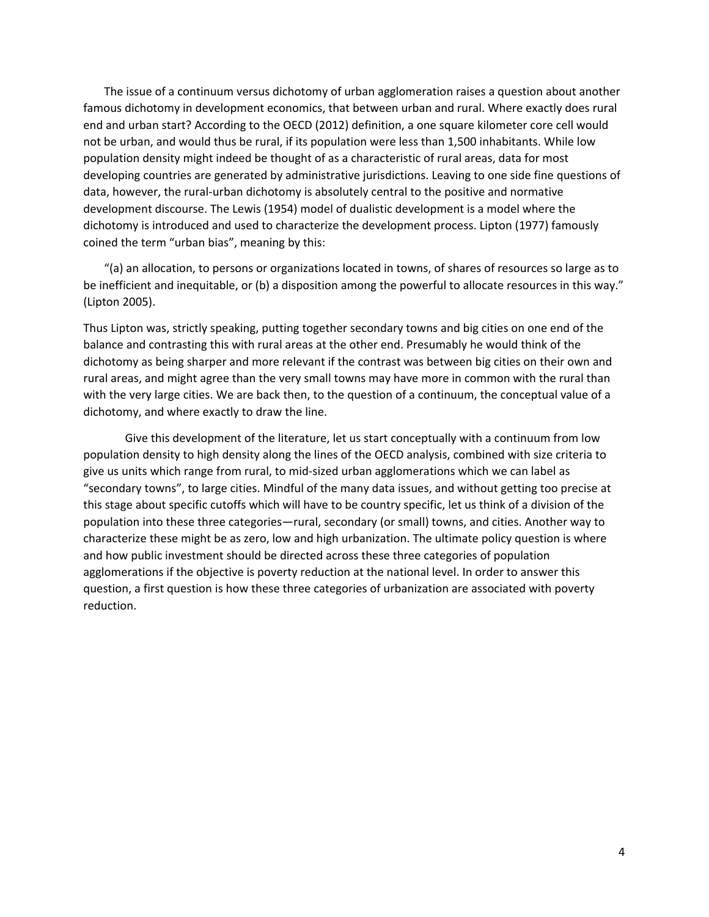The issue of a continuum versus dichotomy of urban agglomeration raises a question about another famous dichotomy in development economics, that between urban and rural. Where exactly does rural end and urban start? According to the OECD (2012) definition, a one square kilometer core cell would not be urban, and would thus be rural, if its population were less than 1,500 inhabitants. While low population density might indeed be thought of as a characteristic of rural areas, data for most developing countries are generated by administrative jurisdictions. Leaving to one side fine questions of data, however, the rural‐urban dichotomy is absolutely central to the positive and normative development discourse. The Lewis (1954) model of dualistic development is a model where the dichotomy is introduced and used to characterize the development process. Lipton (1977) famously coined the term "urban bias", meaning by this:

"(a) an allocation, to persons or organizations located in towns, of shares of resources so large as to be inefficient and inequitable, or (b) a disposition among the powerful to allocate resources in this way." (Lipton 2005).

Thus Lipton was, strictly speaking, putting together secondary towns and big cities on one end of the balance and contrasting this with rural areas at the other end. Presumably he would think of the dichotomy as being sharper and more relevant if the contrast was between big cities on their own and rural areas, and might agree than the very small towns may have more in common with the rural than with the very large cities. We are back then, to the question of a continuum, the conceptual value of a dichotomy, and where exactly to draw the line.

Give this development of the literature, let us start conceptually with a continuum from low population density to high density along the lines of the OECD analysis, combined with size criteria to give us units which range from rural, to mid‐sized urban agglomerations which we can label as "secondary towns", to large cities. Mindful of the many data issues, and without getting too precise at this stage about specific cutoffs which will have to be country specific, let us think of a division of the population into these three categories—rural, secondary (or small) towns, and cities. Another way to characterize these might be as zero, low and high urbanization. The ultimate policy question is where and how public investment should be directed across these three categories of population agglomerations if the objective is poverty reduction at the national level. In order to answer this question, a first question is how these three categories of urbanization are associated with poverty reduction.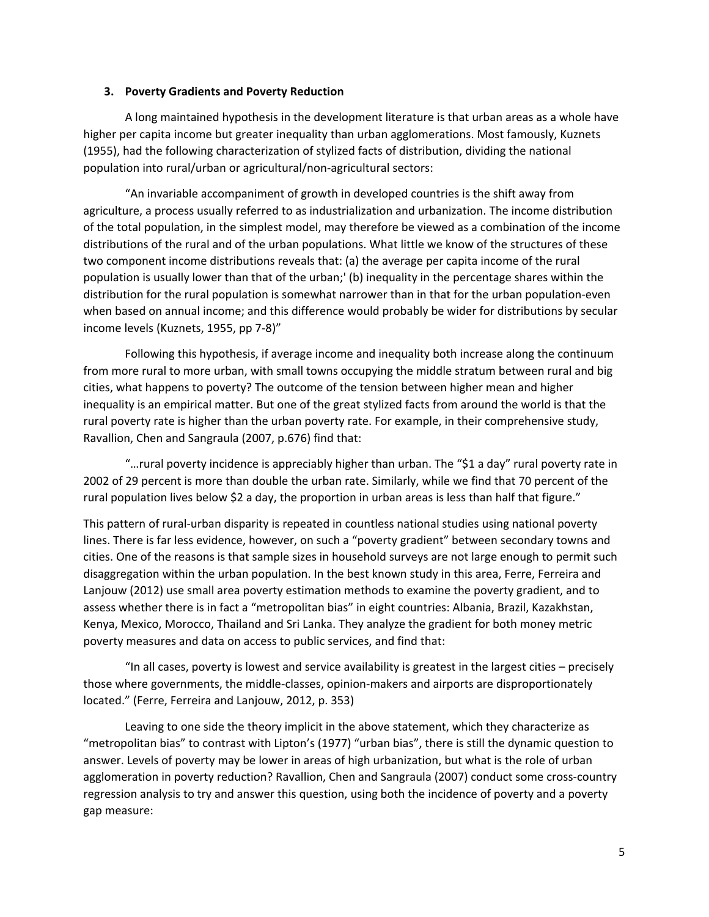# **3. Poverty Gradients and Poverty Reduction**

A long maintained hypothesis in the development literature is that urban areas as a whole have higher per capita income but greater inequality than urban agglomerations. Most famously, Kuznets (1955), had the following characterization of stylized facts of distribution, dividing the national population into rural/urban or agricultural/non‐agricultural sectors:

"An invariable accompaniment of growth in developed countries is the shift away from agriculture, a process usually referred to as industrialization and urbanization. The income distribution of the total population, in the simplest model, may therefore be viewed as a combination of the income distributions of the rural and of the urban populations. What little we know of the structures of these two component income distributions reveals that: (a) the average per capita income of the rural population is usually lower than that of the urban;' (b) inequality in the percentage shares within the distribution for the rural population is somewhat narrower than in that for the urban population‐even when based on annual income; and this difference would probably be wider for distributions by secular income levels (Kuznets, 1955, pp 7‐8)"

Following this hypothesis, if average income and inequality both increase along the continuum from more rural to more urban, with small towns occupying the middle stratum between rural and big cities, what happens to poverty? The outcome of the tension between higher mean and higher inequality is an empirical matter. But one of the great stylized facts from around the world is that the rural poverty rate is higher than the urban poverty rate. For example, in their comprehensive study, Ravallion, Chen and Sangraula (2007, p.676) find that:

"…rural poverty incidence is appreciably higher than urban. The "\$1 a day" rural poverty rate in 2002 of 29 percent is more than double the urban rate. Similarly, while we find that 70 percent of the rural population lives below \$2 a day, the proportion in urban areas is less than half that figure."

This pattern of rural‐urban disparity is repeated in countless national studies using national poverty lines. There is far less evidence, however, on such a "poverty gradient" between secondary towns and cities. One of the reasons is that sample sizes in household surveys are not large enough to permit such disaggregation within the urban population. In the best known study in this area, Ferre, Ferreira and Lanjouw (2012) use small area poverty estimation methods to examine the poverty gradient, and to assess whether there is in fact a "metropolitan bias" in eight countries: Albania, Brazil, Kazakhstan, Kenya, Mexico, Morocco, Thailand and Sri Lanka. They analyze the gradient for both money metric poverty measures and data on access to public services, and find that:

"In all cases, poverty is lowest and service availability is greatest in the largest cities – precisely those where governments, the middle‐classes, opinion‐makers and airports are disproportionately located." (Ferre, Ferreira and Lanjouw, 2012, p. 353)

Leaving to one side the theory implicit in the above statement, which they characterize as "metropolitan bias" to contrast with Lipton's (1977) "urban bias", there is still the dynamic question to answer. Levels of poverty may be lower in areas of high urbanization, but what is the role of urban agglomeration in poverty reduction? Ravallion, Chen and Sangraula (2007) conduct some cross-country regression analysis to try and answer this question, using both the incidence of poverty and a poverty gap measure: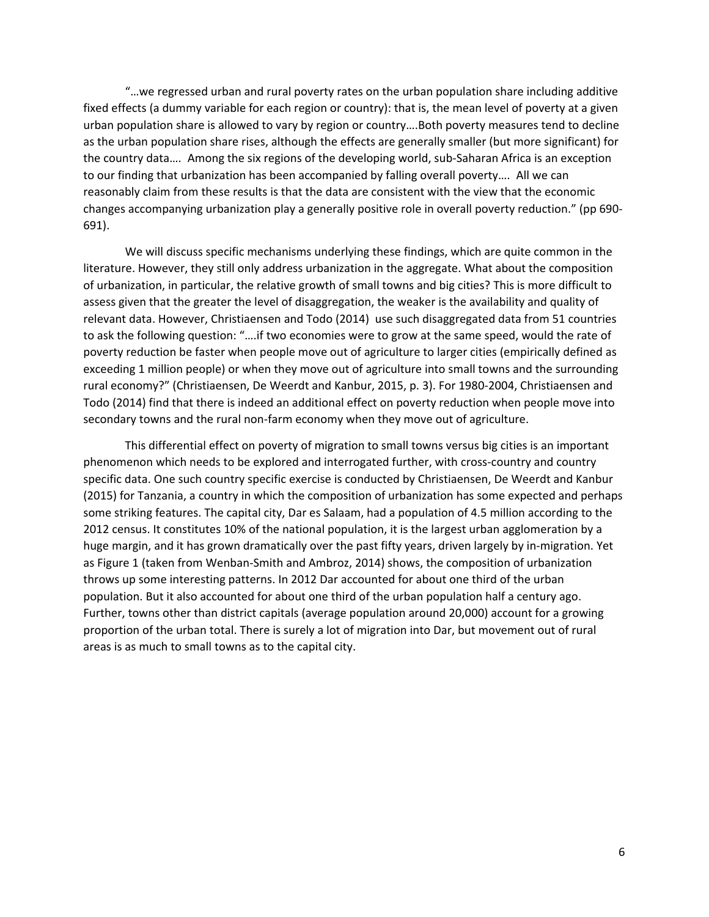"…we regressed urban and rural poverty rates on the urban population share including additive fixed effects (a dummy variable for each region or country): that is, the mean level of poverty at a given urban population share is allowed to vary by region or country….Both poverty measures tend to decline as the urban population share rises, although the effects are generally smaller (but more significant) for the country data…. Among the six regions of the developing world, sub‐Saharan Africa is an exception to our finding that urbanization has been accompanied by falling overall poverty…. All we can reasonably claim from these results is that the data are consistent with the view that the economic changes accompanying urbanization play a generally positive role in overall poverty reduction." (pp 690‐ 691).

We will discuss specific mechanisms underlying these findings, which are quite common in the literature. However, they still only address urbanization in the aggregate. What about the composition of urbanization, in particular, the relative growth of small towns and big cities? This is more difficult to assess given that the greater the level of disaggregation, the weaker is the availability and quality of relevant data. However, Christiaensen and Todo (2014) use such disaggregated data from 51 countries to ask the following question: "….if two economies were to grow at the same speed, would the rate of poverty reduction be faster when people move out of agriculture to larger cities (empirically defined as exceeding 1 million people) or when they move out of agriculture into small towns and the surrounding rural economy?" (Christiaensen, De Weerdt and Kanbur, 2015, p. 3). For 1980‐2004, Christiaensen and Todo (2014) find that there is indeed an additional effect on poverty reduction when people move into secondary towns and the rural non-farm economy when they move out of agriculture.

This differential effect on poverty of migration to small towns versus big cities is an important phenomenon which needs to be explored and interrogated further, with cross‐country and country specific data. One such country specific exercise is conducted by Christiaensen, De Weerdt and Kanbur (2015) for Tanzania, a country in which the composition of urbanization has some expected and perhaps some striking features. The capital city, Dar es Salaam, had a population of 4.5 million according to the 2012 census. It constitutes 10% of the national population, it is the largest urban agglomeration by a huge margin, and it has grown dramatically over the past fifty years, driven largely by in‐migration. Yet as Figure 1 (taken from Wenban‐Smith and Ambroz, 2014) shows, the composition of urbanization throws up some interesting patterns. In 2012 Dar accounted for about one third of the urban population. But it also accounted for about one third of the urban population half a century ago. Further, towns other than district capitals (average population around 20,000) account for a growing proportion of the urban total. There is surely a lot of migration into Dar, but movement out of rural areas is as much to small towns as to the capital city.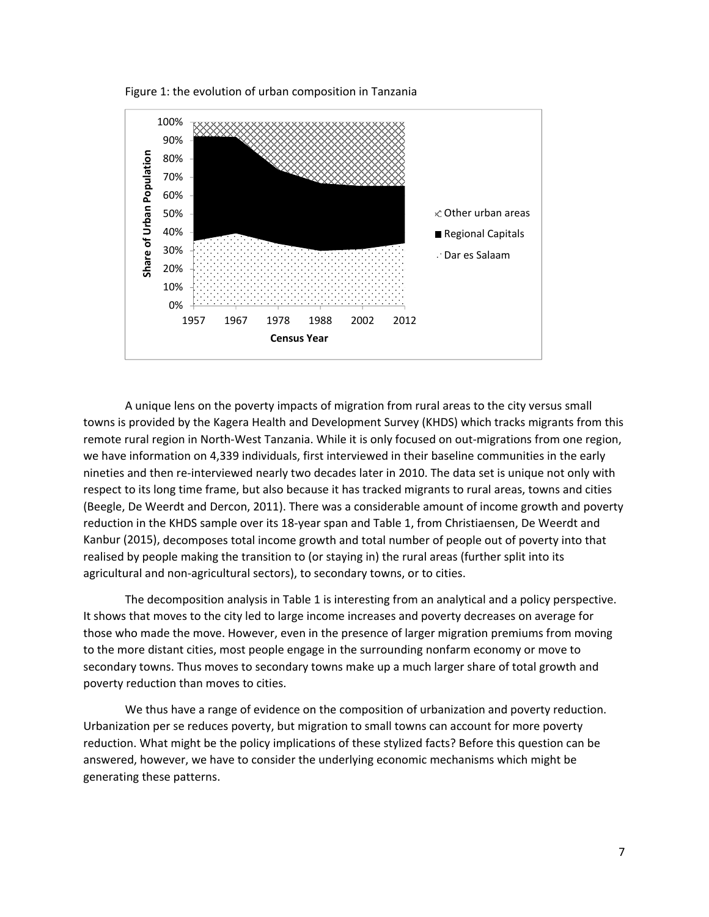Figure 1: the evolution of urban composition in Tanzania



A unique lens on the poverty impacts of migration from rural areas to the city versus small towns is provided by the Kagera Health and Development Survey (KHDS) which tracks migrants from this remote rural region in North‐West Tanzania. While it is only focused on out‐migrations from one region, we have information on 4,339 individuals, first interviewed in their baseline communities in the early nineties and then re‐interviewed nearly two decades later in 2010. The data set is unique not only with respect to its long time frame, but also because it has tracked migrants to rural areas, towns and cities (Beegle, De Weerdt and Dercon, 2011). There was a considerable amount of income growth and poverty reduction in the KHDS sample over its 18‐year span and Table 1, from Christiaensen, De Weerdt and Kanbur (2015), decomposes total income growth and total number of people out of poverty into that realised by people making the transition to (or staying in) the rural areas (further split into its agricultural and non‐agricultural sectors), to secondary towns, or to cities.

The decomposition analysis in Table 1 is interesting from an analytical and a policy perspective. It shows that moves to the city led to large income increases and poverty decreases on average for those who made the move. However, even in the presence of larger migration premiums from moving to the more distant cities, most people engage in the surrounding nonfarm economy or move to secondary towns. Thus moves to secondary towns make up a much larger share of total growth and poverty reduction than moves to cities.

We thus have a range of evidence on the composition of urbanization and poverty reduction. Urbanization per se reduces poverty, but migration to small towns can account for more poverty reduction. What might be the policy implications of these stylized facts? Before this question can be answered, however, we have to consider the underlying economic mechanisms which might be generating these patterns.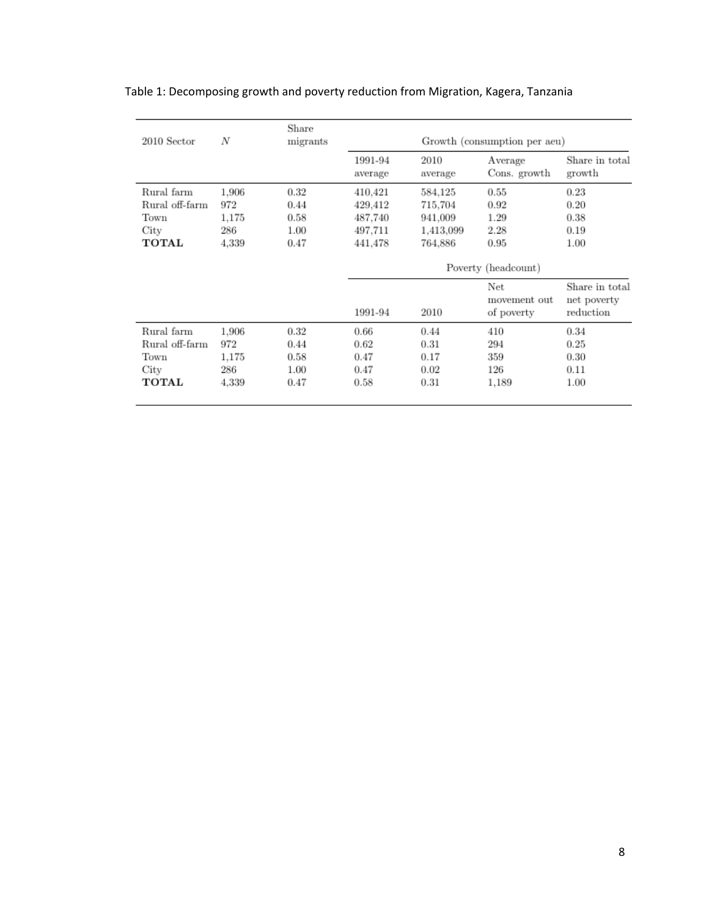| 2010 Sector    | N     | Share<br>migrants | Growth (consumption per aeu) |                 |                                   |                                            |
|----------------|-------|-------------------|------------------------------|-----------------|-----------------------------------|--------------------------------------------|
|                |       |                   | 1991-94<br>average           | 2010<br>average | Average<br>Cons. growth           | Share in total<br>growth                   |
| Rural farm     | 1.906 | 0.32              | 410,421                      | 584,125         | 0.55                              | 0.23                                       |
| Rural off-farm | 972   | 0.44              | 429,412                      | 715.704         | 0.92                              | 0.20                                       |
| Town           | 1,175 | 0.58              | 487,740                      | 941,009         | 1.29                              | 0.38                                       |
| City           | 286   | 1.00              | 497,711                      | 1,413,099       | 2.28                              | 0.19                                       |
| TOTAL          | 4.339 | 0.47              | 441,478                      | 764,886         | 0.95                              | 1.00                                       |
|                |       |                   | Poverty (headcount)          |                 |                                   |                                            |
|                |       |                   | 1991-94                      | 2010            | Net<br>movement out<br>of poverty | Share in total<br>net poverty<br>reduction |
| Rural farm     | 1.906 | 0.32              | 0.66                         | 0.44            | 410                               | 0.34                                       |
| Rural off-farm | 972   | 0.44              | 0.62                         | 0.31            | 294                               | 0.25                                       |
| Town           | 1.175 | 0.58              | 0.47                         | 0.17            | 359                               | 0.30                                       |
| City           | 286   | 1.00              | 0.47                         | 0.02            | 126                               | 0.11                                       |
| TOTAL          | 4.339 | 0.47              | 0.58                         | 0.31            | 1.189                             | 1.00                                       |
|                |       |                   |                              |                 |                                   |                                            |

Table 1: Decomposing growth and poverty reduction from Migration, Kagera, Tanzania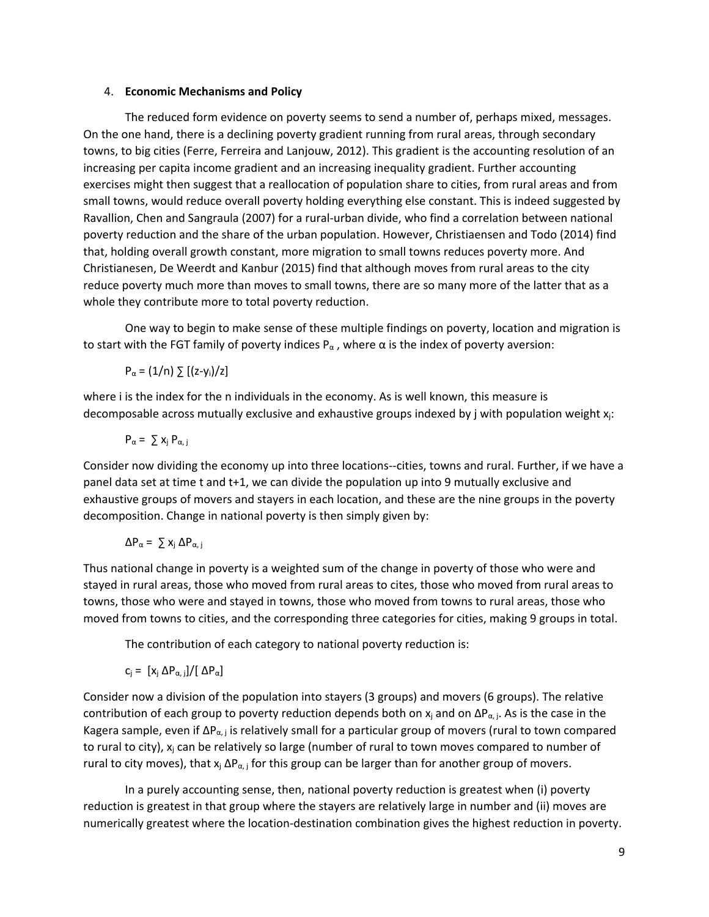# 4. **Economic Mechanisms and Policy**

The reduced form evidence on poverty seems to send a number of, perhaps mixed, messages. On the one hand, there is a declining poverty gradient running from rural areas, through secondary towns, to big cities (Ferre, Ferreira and Lanjouw, 2012). This gradient is the accounting resolution of an increasing per capita income gradient and an increasing inequality gradient. Further accounting exercises might then suggest that a reallocation of population share to cities, from rural areas and from small towns, would reduce overall poverty holding everything else constant. This is indeed suggested by Ravallion, Chen and Sangraula (2007) for a rural‐urban divide, who find a correlation between national poverty reduction and the share of the urban population. However, Christiaensen and Todo (2014) find that, holding overall growth constant, more migration to small towns reduces poverty more. And Christianesen, De Weerdt and Kanbur (2015) find that although moves from rural areas to the city reduce poverty much more than moves to small towns, there are so many more of the latter that as a whole they contribute more to total poverty reduction.

One way to begin to make sense of these multiple findings on poverty, location and migration is to start with the FGT family of poverty indices  $P_{\alpha}$ , where  $\alpha$  is the index of poverty aversion:

$$
P_{\alpha} = (1/n) \sum [(z-y_i)/z]
$$

where i is the index for the n individuals in the economy. As is well known, this measure is decomposable across mutually exclusive and exhaustive groups indexed by j with population weight  $x_i$ :

$$
P_{\alpha} = \sum x_j P_{\alpha, j}
$$

Consider now dividing the economy up into three locations--cities, towns and rural. Further, if we have a panel data set at time t and t+1, we can divide the population up into 9 mutually exclusive and exhaustive groups of movers and stayers in each location, and these are the nine groups in the poverty decomposition. Change in national poverty is then simply given by:

$$
\Delta P_{\alpha} = \sum x_j \, \Delta P_{\alpha, j}
$$

Thus national change in poverty is a weighted sum of the change in poverty of those who were and stayed in rural areas, those who moved from rural areas to cites, those who moved from rural areas to towns, those who were and stayed in towns, those who moved from towns to rural areas, those who moved from towns to cities, and the corresponding three categories for cities, making 9 groups in total.

The contribution of each category to national poverty reduction is:

$$
c_j = [x_j \Delta P_{\alpha, j}]/[\Delta P_{\alpha}]
$$

Consider now a division of the population into stayers (3 groups) and movers (6 groups). The relative contribution of each group to poverty reduction depends both on  $x_i$  and on  $\Delta P_{\alpha,i}$ . As is the case in the Kagera sample, even if  $\Delta P_{\alpha,j}$  is relatively small for a particular group of movers (rural to town compared to rural to city),  $x_i$  can be relatively so large (number of rural to town moves compared to number of rural to city moves), that  $x_j \Delta P_{\alpha,j}$  for this group can be larger than for another group of movers.

In a purely accounting sense, then, national poverty reduction is greatest when (i) poverty reduction is greatest in that group where the stayers are relatively large in number and (ii) moves are numerically greatest where the location‐destination combination gives the highest reduction in poverty.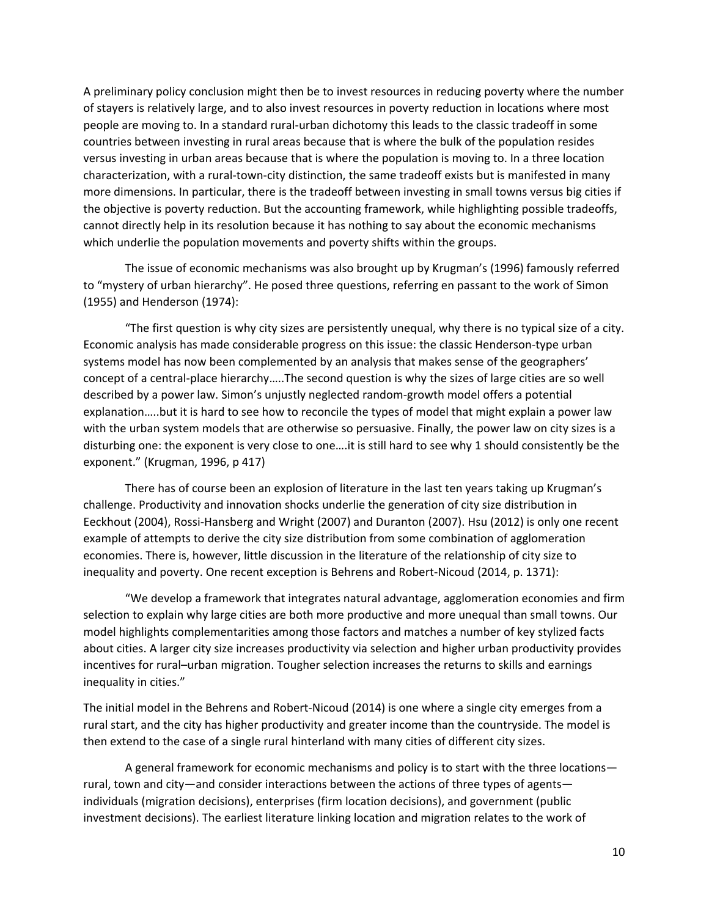A preliminary policy conclusion might then be to invest resources in reducing poverty where the number of stayers is relatively large, and to also invest resources in poverty reduction in locations where most people are moving to. In a standard rural‐urban dichotomy this leads to the classic tradeoff in some countries between investing in rural areas because that is where the bulk of the population resides versus investing in urban areas because that is where the population is moving to. In a three location characterization, with a rural‐town‐city distinction, the same tradeoff exists but is manifested in many more dimensions. In particular, there is the tradeoff between investing in small towns versus big cities if the objective is poverty reduction. But the accounting framework, while highlighting possible tradeoffs, cannot directly help in its resolution because it has nothing to say about the economic mechanisms which underlie the population movements and poverty shifts within the groups.

The issue of economic mechanisms was also brought up by Krugman's (1996) famously referred to "mystery of urban hierarchy". He posed three questions, referring en passant to the work of Simon (1955) and Henderson (1974):

"The first question is why city sizes are persistently unequal, why there is no typical size of a city. Economic analysis has made considerable progress on this issue: the classic Henderson‐type urban systems model has now been complemented by an analysis that makes sense of the geographers' concept of a central‐place hierarchy…..The second question is why the sizes of large cities are so well described by a power law. Simon's unjustly neglected random‐growth model offers a potential explanation…..but it is hard to see how to reconcile the types of model that might explain a power law with the urban system models that are otherwise so persuasive. Finally, the power law on city sizes is a disturbing one: the exponent is very close to one….it is still hard to see why 1 should consistently be the exponent." (Krugman, 1996, p 417)

There has of course been an explosion of literature in the last ten years taking up Krugman's challenge. Productivity and innovation shocks underlie the generation of city size distribution in Eeckhout (2004), Rossi-Hansberg and Wright (2007) and Duranton (2007). Hsu (2012) is only one recent example of attempts to derive the city size distribution from some combination of agglomeration economies. There is, however, little discussion in the literature of the relationship of city size to inequality and poverty. One recent exception is Behrens and Robert‐Nicoud (2014, p. 1371):

"We develop a framework that integrates natural advantage, agglomeration economies and firm selection to explain why large cities are both more productive and more unequal than small towns. Our model highlights complementarities among those factors and matches a number of key stylized facts about cities. A larger city size increases productivity via selection and higher urban productivity provides incentives for rural–urban migration. Tougher selection increases the returns to skills and earnings inequality in cities."

The initial model in the Behrens and Robert‐Nicoud (2014) is one where a single city emerges from a rural start, and the city has higher productivity and greater income than the countryside. The model is then extend to the case of a single rural hinterland with many cities of different city sizes.

A general framework for economic mechanisms and policy is to start with the three locations rural, town and city—and consider interactions between the actions of three types of agents individuals (migration decisions), enterprises (firm location decisions), and government (public investment decisions). The earliest literature linking location and migration relates to the work of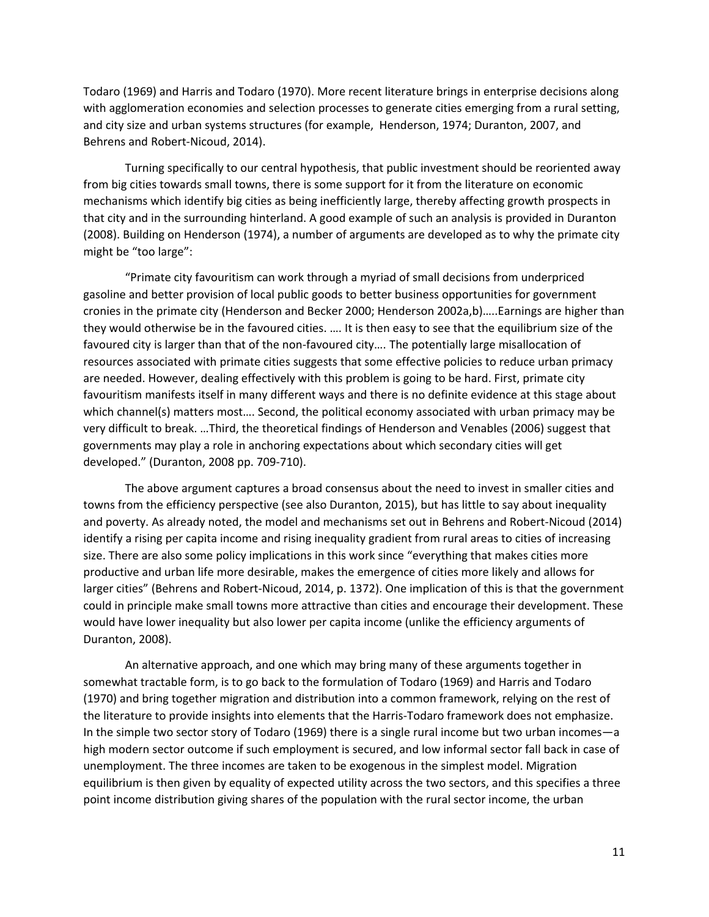Todaro (1969) and Harris and Todaro (1970). More recent literature brings in enterprise decisions along with agglomeration economies and selection processes to generate cities emerging from a rural setting, and city size and urban systems structures (for example, Henderson, 1974; Duranton, 2007, and Behrens and Robert‐Nicoud, 2014).

Turning specifically to our central hypothesis, that public investment should be reoriented away from big cities towards small towns, there is some support for it from the literature on economic mechanisms which identify big cities as being inefficiently large, thereby affecting growth prospects in that city and in the surrounding hinterland. A good example of such an analysis is provided in Duranton (2008). Building on Henderson (1974), a number of arguments are developed as to why the primate city might be "too large":

"Primate city favouritism can work through a myriad of small decisions from underpriced gasoline and better provision of local public goods to better business opportunities for government cronies in the primate city (Henderson and Becker 2000; Henderson 2002a,b)…..Earnings are higher than they would otherwise be in the favoured cities. …. It is then easy to see that the equilibrium size of the favoured city is larger than that of the non-favoured city.... The potentially large misallocation of resources associated with primate cities suggests that some effective policies to reduce urban primacy are needed. However, dealing effectively with this problem is going to be hard. First, primate city favouritism manifests itself in many different ways and there is no definite evidence at this stage about which channel(s) matters most…. Second, the political economy associated with urban primacy may be very difficult to break. …Third, the theoretical findings of Henderson and Venables (2006) suggest that governments may play a role in anchoring expectations about which secondary cities will get developed." (Duranton, 2008 pp. 709‐710).

The above argument captures a broad consensus about the need to invest in smaller cities and towns from the efficiency perspective (see also Duranton, 2015), but has little to say about inequality and poverty. As already noted, the model and mechanisms set out in Behrens and Robert‐Nicoud (2014) identify a rising per capita income and rising inequality gradient from rural areas to cities of increasing size. There are also some policy implications in this work since "everything that makes cities more productive and urban life more desirable, makes the emergence of cities more likely and allows for larger cities" (Behrens and Robert‐Nicoud, 2014, p. 1372). One implication of this is that the government could in principle make small towns more attractive than cities and encourage their development. These would have lower inequality but also lower per capita income (unlike the efficiency arguments of Duranton, 2008).

An alternative approach, and one which may bring many of these arguments together in somewhat tractable form, is to go back to the formulation of Todaro (1969) and Harris and Todaro (1970) and bring together migration and distribution into a common framework, relying on the rest of the literature to provide insights into elements that the Harris‐Todaro framework does not emphasize. In the simple two sector story of Todaro (1969) there is a single rural income but two urban incomes—a high modern sector outcome if such employment is secured, and low informal sector fall back in case of unemployment. The three incomes are taken to be exogenous in the simplest model. Migration equilibrium is then given by equality of expected utility across the two sectors, and this specifies a three point income distribution giving shares of the population with the rural sector income, the urban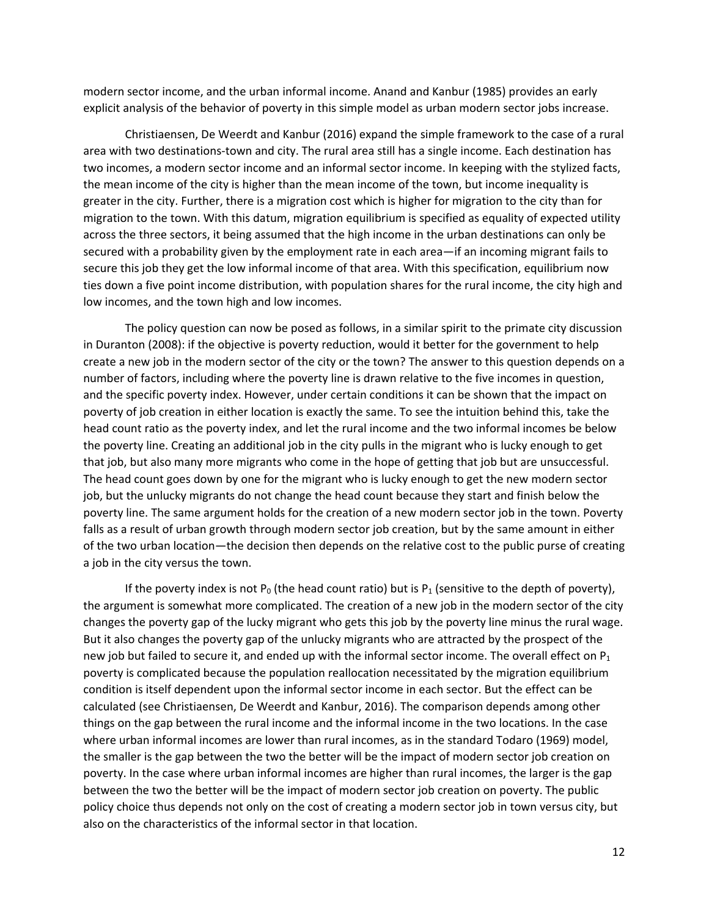modern sector income, and the urban informal income. Anand and Kanbur (1985) provides an early explicit analysis of the behavior of poverty in this simple model as urban modern sector jobs increase.

Christiaensen, De Weerdt and Kanbur (2016) expand the simple framework to the case of a rural area with two destinations‐town and city. The rural area still has a single income. Each destination has two incomes, a modern sector income and an informal sector income. In keeping with the stylized facts, the mean income of the city is higher than the mean income of the town, but income inequality is greater in the city. Further, there is a migration cost which is higher for migration to the city than for migration to the town. With this datum, migration equilibrium is specified as equality of expected utility across the three sectors, it being assumed that the high income in the urban destinations can only be secured with a probability given by the employment rate in each area—if an incoming migrant fails to secure this job they get the low informal income of that area. With this specification, equilibrium now ties down a five point income distribution, with population shares for the rural income, the city high and low incomes, and the town high and low incomes.

The policy question can now be posed as follows, in a similar spirit to the primate city discussion in Duranton (2008): if the objective is poverty reduction, would it better for the government to help create a new job in the modern sector of the city or the town? The answer to this question depends on a number of factors, including where the poverty line is drawn relative to the five incomes in question, and the specific poverty index. However, under certain conditions it can be shown that the impact on poverty of job creation in either location is exactly the same. To see the intuition behind this, take the head count ratio as the poverty index, and let the rural income and the two informal incomes be below the poverty line. Creating an additional job in the city pulls in the migrant who is lucky enough to get that job, but also many more migrants who come in the hope of getting that job but are unsuccessful. The head count goes down by one for the migrant who is lucky enough to get the new modern sector job, but the unlucky migrants do not change the head count because they start and finish below the poverty line. The same argument holds for the creation of a new modern sector job in the town. Poverty falls as a result of urban growth through modern sector job creation, but by the same amount in either of the two urban location—the decision then depends on the relative cost to the public purse of creating a job in the city versus the town.

If the poverty index is not  $P_0$  (the head count ratio) but is  $P_1$  (sensitive to the depth of poverty), the argument is somewhat more complicated. The creation of a new job in the modern sector of the city changes the poverty gap of the lucky migrant who gets this job by the poverty line minus the rural wage. But it also changes the poverty gap of the unlucky migrants who are attracted by the prospect of the new job but failed to secure it, and ended up with the informal sector income. The overall effect on  $P_1$ poverty is complicated because the population reallocation necessitated by the migration equilibrium condition is itself dependent upon the informal sector income in each sector. But the effect can be calculated (see Christiaensen, De Weerdt and Kanbur, 2016). The comparison depends among other things on the gap between the rural income and the informal income in the two locations. In the case where urban informal incomes are lower than rural incomes, as in the standard Todaro (1969) model, the smaller is the gap between the two the better will be the impact of modern sector job creation on poverty. In the case where urban informal incomes are higher than rural incomes, the larger is the gap between the two the better will be the impact of modern sector job creation on poverty. The public policy choice thus depends not only on the cost of creating a modern sector job in town versus city, but also on the characteristics of the informal sector in that location.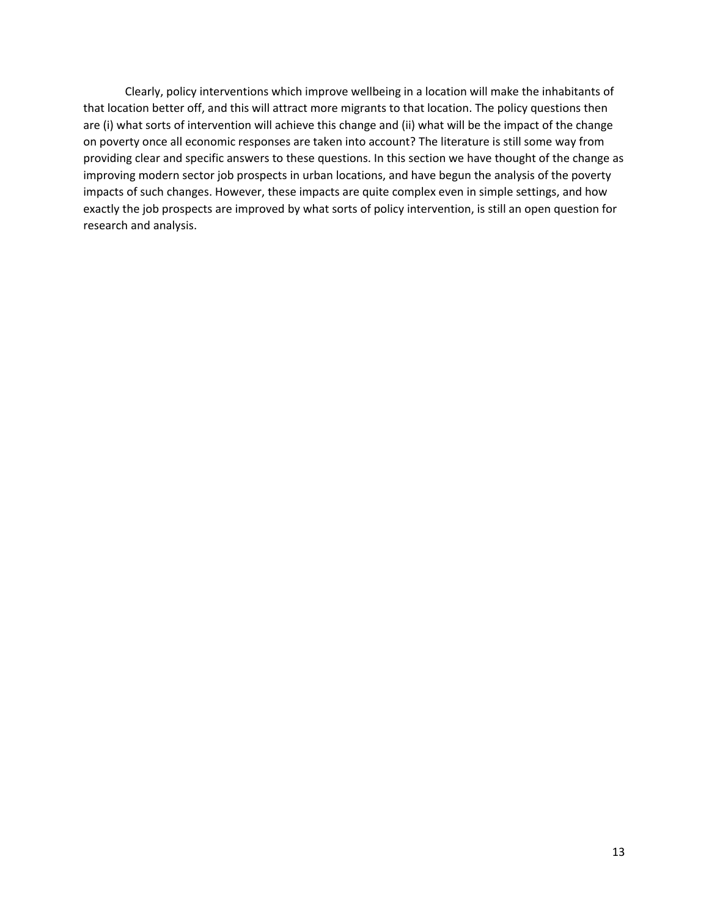Clearly, policy interventions which improve wellbeing in a location will make the inhabitants of that location better off, and this will attract more migrants to that location. The policy questions then are (i) what sorts of intervention will achieve this change and (ii) what will be the impact of the change on poverty once all economic responses are taken into account? The literature is still some way from providing clear and specific answers to these questions. In this section we have thought of the change as improving modern sector job prospects in urban locations, and have begun the analysis of the poverty impacts of such changes. However, these impacts are quite complex even in simple settings, and how exactly the job prospects are improved by what sorts of policy intervention, is still an open question for research and analysis.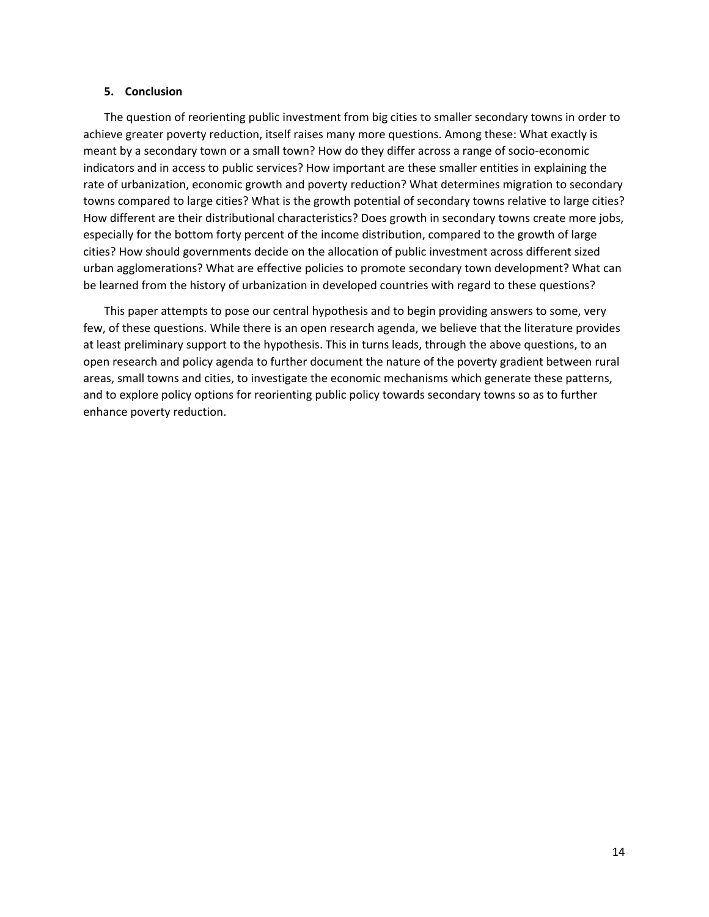### **5. Conclusion**

The question of reorienting public investment from big cities to smaller secondary towns in order to achieve greater poverty reduction, itself raises many more questions. Among these: What exactly is meant by a secondary town or a small town? How do they differ across a range of socio‐economic indicators and in access to public services? How important are these smaller entities in explaining the rate of urbanization, economic growth and poverty reduction? What determines migration to secondary towns compared to large cities? What is the growth potential of secondary towns relative to large cities? How different are their distributional characteristics? Does growth in secondary towns create more jobs, especially for the bottom forty percent of the income distribution, compared to the growth of large cities? How should governments decide on the allocation of public investment across different sized urban agglomerations? What are effective policies to promote secondary town development? What can be learned from the history of urbanization in developed countries with regard to these questions?

This paper attempts to pose our central hypothesis and to begin providing answers to some, very few, of these questions. While there is an open research agenda, we believe that the literature provides at least preliminary support to the hypothesis. This in turns leads, through the above questions, to an open research and policy agenda to further document the nature of the poverty gradient between rural areas, small towns and cities, to investigate the economic mechanisms which generate these patterns, and to explore policy options for reorienting public policy towards secondary towns so as to further enhance poverty reduction.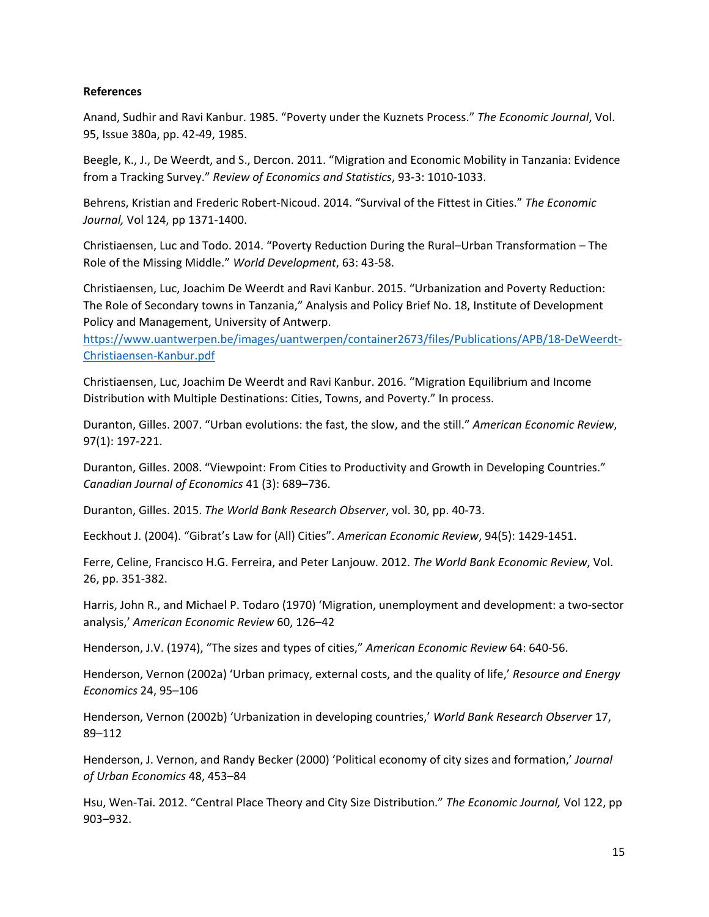# **References**

Anand, Sudhir and Ravi Kanbur. 1985. "Poverty under the Kuznets Process." *The Economic Journal*, Vol. 95, Issue 380a, pp. 42‐49, 1985.

Beegle, K., J., De Weerdt, and S., Dercon. 2011. "Migration and Economic Mobility in Tanzania: Evidence from a Tracking Survey." *Review of Economics and Statistics*, 93‐3: 1010‐1033.

Behrens, Kristian and Frederic Robert‐Nicoud. 2014. "Survival of the Fittest in Cities." *The Economic Journal,* Vol 124, pp 1371‐1400.

Christiaensen, Luc and Todo. 2014. "Poverty Reduction During the Rural–Urban Transformation – The Role of the Missing Middle." *World Development*, 63: 43‐58.

Christiaensen, Luc, Joachim De Weerdt and Ravi Kanbur. 2015. "Urbanization and Poverty Reduction: The Role of Secondary towns in Tanzania," Analysis and Policy Brief No. 18, Institute of Development Policy and Management, University of Antwerp.

https://www.uantwerpen.be/images/uantwerpen/container2673/files/Publications/APB/18‐DeWeerdt‐ Christiaensen‐Kanbur.pdf

Christiaensen, Luc, Joachim De Weerdt and Ravi Kanbur. 2016. "Migration Equilibrium and Income Distribution with Multiple Destinations: Cities, Towns, and Poverty." In process.

Duranton, Gilles. 2007. "Urban evolutions: the fast, the slow, and the still." *American Economic Review*, 97(1): 197‐221.

Duranton, Gilles. 2008. "Viewpoint: From Cities to Productivity and Growth in Developing Countries." *Canadian Journal of Economics* 41 (3): 689–736.

Duranton, Gilles. 2015. *The World Bank Research Observer*, vol. 30, pp. 40‐73.

Eeckhout J. (2004). "Gibrat's Law for (All) Cities". *American Economic Review*, 94(5): 1429‐1451.

Ferre, Celine, Francisco H.G. Ferreira, and Peter Lanjouw. 2012. *The World Bank Economic Review*, Vol. 26, pp. 351‐382.

Harris, John R., and Michael P. Todaro (1970) 'Migration, unemployment and development: a two‐sector analysis,' *American Economic Review* 60, 126–42

Henderson, J.V. (1974), "The sizes and types of cities," *American Economic Review* 64: 640‐56.

Henderson, Vernon (2002a) 'Urban primacy, external costs, and the quality of life,' *Resource and Energy Economics* 24, 95–106

Henderson, Vernon (2002b) 'Urbanization in developing countries,' *World Bank Research Observer* 17, 89–112

Henderson, J. Vernon, and Randy Becker (2000) 'Political economy of city sizes and formation,' *Journal of Urban Economics* 48, 453–84

Hsu, Wen‐Tai. 2012. "Central Place Theory and City Size Distribution." *The Economic Journal,* Vol 122, pp 903–932.